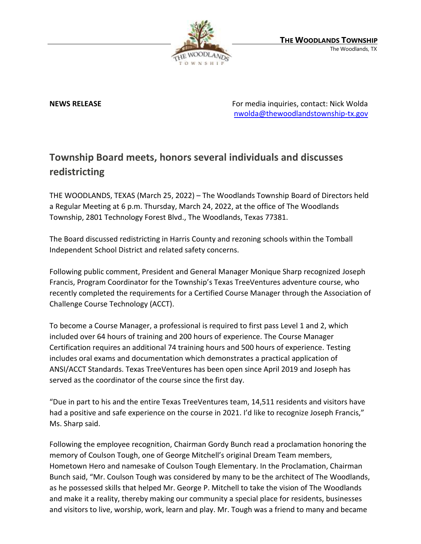

**NEWS RELEASE** For media inquiries, contact: Nick Wolda [nwolda@thewoodlandstownship-tx.gov](mailto:nwolda@thewoodlandstownship-tx.gov)

## **Township Board meets, honors several individuals and discusses redistricting**

THE WOODLANDS, TEXAS (March 25, 2022) – The Woodlands Township Board of Directors held a Regular Meeting at 6 p.m. Thursday, March 24, 2022, at the office of The Woodlands Township, 2801 Technology Forest Blvd., The Woodlands, Texas 77381.

The Board discussed redistricting in Harris County and rezoning schools within the Tomball Independent School District and related safety concerns.

Following public comment, President and General Manager Monique Sharp recognized Joseph Francis, Program Coordinator for the Township's Texas TreeVentures adventure course, who recently completed the requirements for a Certified Course Manager through the Association of Challenge Course Technology (ACCT).

To become a Course Manager, a professional is required to first pass Level 1 and 2, which included over 64 hours of training and 200 hours of experience. The Course Manager Certification requires an additional 74 training hours and 500 hours of experience. Testing includes oral exams and documentation which demonstrates a practical application of ANSI/ACCT Standards. Texas TreeVentures has been open since April 2019 and Joseph has served as the coordinator of the course since the first day.

"Due in part to his and the entire Texas TreeVentures team, 14,511 residents and visitors have had a positive and safe experience on the course in 2021. I'd like to recognize Joseph Francis," Ms. Sharp said.

Following the employee recognition, Chairman Gordy Bunch read a proclamation honoring the memory of Coulson Tough, one of George Mitchell's original Dream Team members, Hometown Hero and namesake of Coulson Tough Elementary. In the Proclamation, Chairman Bunch said, "Mr. Coulson Tough was considered by many to be the architect of The Woodlands, as he possessed skills that helped Mr. George P. Mitchell to take the vision of The Woodlands and make it a reality, thereby making our community a special place for residents, businesses and visitors to live, worship, work, learn and play. Mr. Tough was a friend to many and became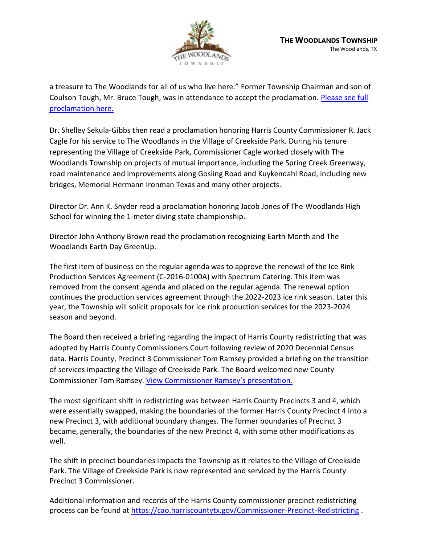

a treasure to The Woodlands for all of us who live here." Former Township Chairman and son of Coulson Tough, Mr. Bruce Tough, was in attendance to accept the proclamation. Please see full [proclamation here.](https://destinyhosted.com/woodldocs/2022/BODREG/20220324_3848/5022_Coulson_Tough_3.24.22.pdf)

Dr. Shelley Sekula-Gibbs then read a proclamation honoring Harris County Commissioner R. Jack Cagle for his service to The Woodlands in the Village of Creekside Park. During his tenure representing the Village of Creekside Park, Commissioner Cagle worked closely with The Woodlands Township on projects of mutual importance, including the Spring Creek Greenway, road maintenance and improvements along Gosling Road and Kuykendahl Road, including new bridges, Memorial Hermann Ironman Texas and many other projects.

Director Dr. Ann K. Snyder read a proclamation honoring Jacob Jones of The Woodlands High School for winning the 1-meter diving state championship.

Director John Anthony Brown read the proclamation recognizing Earth Month and The Woodlands Earth Day GreenUp.

The first item of business on the regular agenda was to approve the renewal of the Ice Rink Production Services Agreement (C-2016-0100A) with Spectrum Catering. This item was removed from the consent agenda and placed on the regular agenda. The renewal option continues the production services agreement through the 2022-2023 ice rink season. Later this year, the Township will solicit proposals for ice rink production services for the 2023-2024 season and beyond.

The Board then received a briefing regarding the impact of Harris County redistricting that was adopted by Harris County Commissioners Court following review of 2020 Decennial Census data. Harris County, Precinct 3 Commissioner Tom Ramsey provided a briefing on the transition of services impacting the Village of Creekside Park. The Board welcomed new County Commissioner Tom Ramsey. View Commissione[r Ramsey's presentation.](https://www.thewoodlandstownship-tx.gov/ArchiveCenter/ViewFile/Item/12206)

The most significant shift in redistricting was between Harris County Precincts 3 and 4, which were essentially swapped, making the boundaries of the former Harris County Precinct 4 into a new Precinct 3, with additional boundary changes. The former boundaries of Precinct 3 became, generally, the boundaries of the new Precinct 4, with some other modifications as well.

The shift in precinct boundaries impacts the Township as it relates to the Village of Creekside Park. The Village of Creekside Park is now represented and serviced by the Harris County Precinct 3 Commissioner.

Additional information and records of the Harris County commissioner precinct redistricting process can be found at<https://cao.harriscountytx.gov/Commissioner-Precinct-Redistricting> .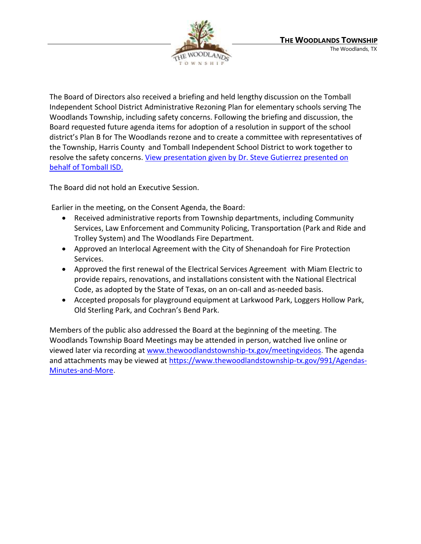

The Board of Directors also received a briefing and held lengthy discussion on the Tomball Independent School District Administrative Rezoning Plan for elementary schools serving The Woodlands Township, including safety concerns. Following the briefing and discussion, the Board requested future agenda items for adoption of a resolution in support of the school district's Plan B for The Woodlands rezone and to create a committee with representatives of the Township, Harris County and Tomball Independent School District to work together to resolve the safety concerns. [View presentation given by Dr. Steve Gutierrez presented on](https://www.thewoodlandstownship-tx.gov/ArchiveCenter/ViewFile/Item/12207)  [behalf of Tomball ISD.](https://www.thewoodlandstownship-tx.gov/ArchiveCenter/ViewFile/Item/12207)

The Board did not hold an Executive Session.

Earlier in the meeting, on the Consent Agenda, the Board:

- Received administrative reports from Township departments, including Community Services, Law Enforcement and Community Policing, Transportation (Park and Ride and Trolley System) and The Woodlands Fire Department.
- Approved an Interlocal Agreement with the City of Shenandoah for Fire Protection Services.
- Approved the first renewal of the Electrical Services Agreement with Miam Electric to provide repairs, renovations, and installations consistent with the National Electrical Code, as adopted by the State of Texas, on an on-call and as-needed basis.
- Accepted proposals for playground equipment at Larkwood Park, Loggers Hollow Park, Old Sterling Park, and Cochran's Bend Park.

Members of the public also addressed the Board at the beginning of the meeting. The Woodlands Township Board Meetings may be attended in person, watched live online or viewed later via recording at [www.thewoodlandstownship-tx.gov/meetingvideos.](http://www.thewoodlandstownship-tx.gov/meetingvideos) The agenda and attachments may be viewed at [https://www.thewoodlandstownship-tx.gov/991/Agendas-](https://www.thewoodlandstownship-tx.gov/991/Agendas-Minutes-and-More)[Minutes-and-More.](https://www.thewoodlandstownship-tx.gov/991/Agendas-Minutes-and-More)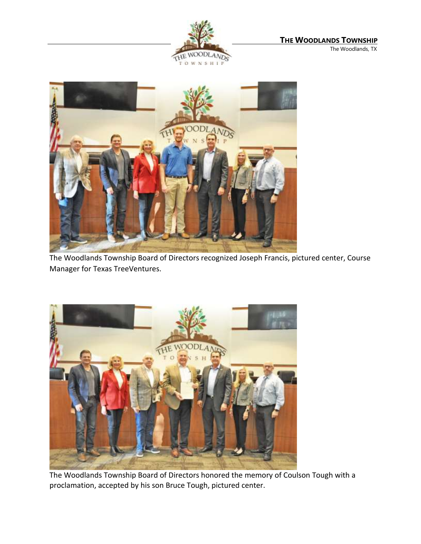



The Woodlands Township Board of Directors recognized Joseph Francis, pictured center, Course Manager for Texas TreeVentures.



The Woodlands Township Board of Directors honored the memory of Coulson Tough with a proclamation, accepted by his son Bruce Tough, pictured center.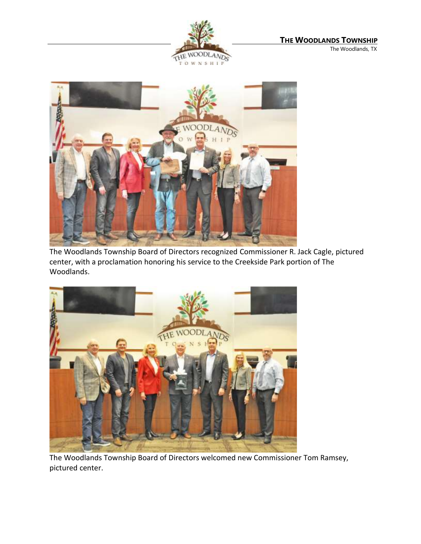



The Woodlands Township Board of Directors recognized Commissioner R. Jack Cagle, pictured center, with a proclamation honoring his service to the Creekside Park portion of The Woodlands.



The Woodlands Township Board of Directors welcomed new Commissioner Tom Ramsey, pictured center.